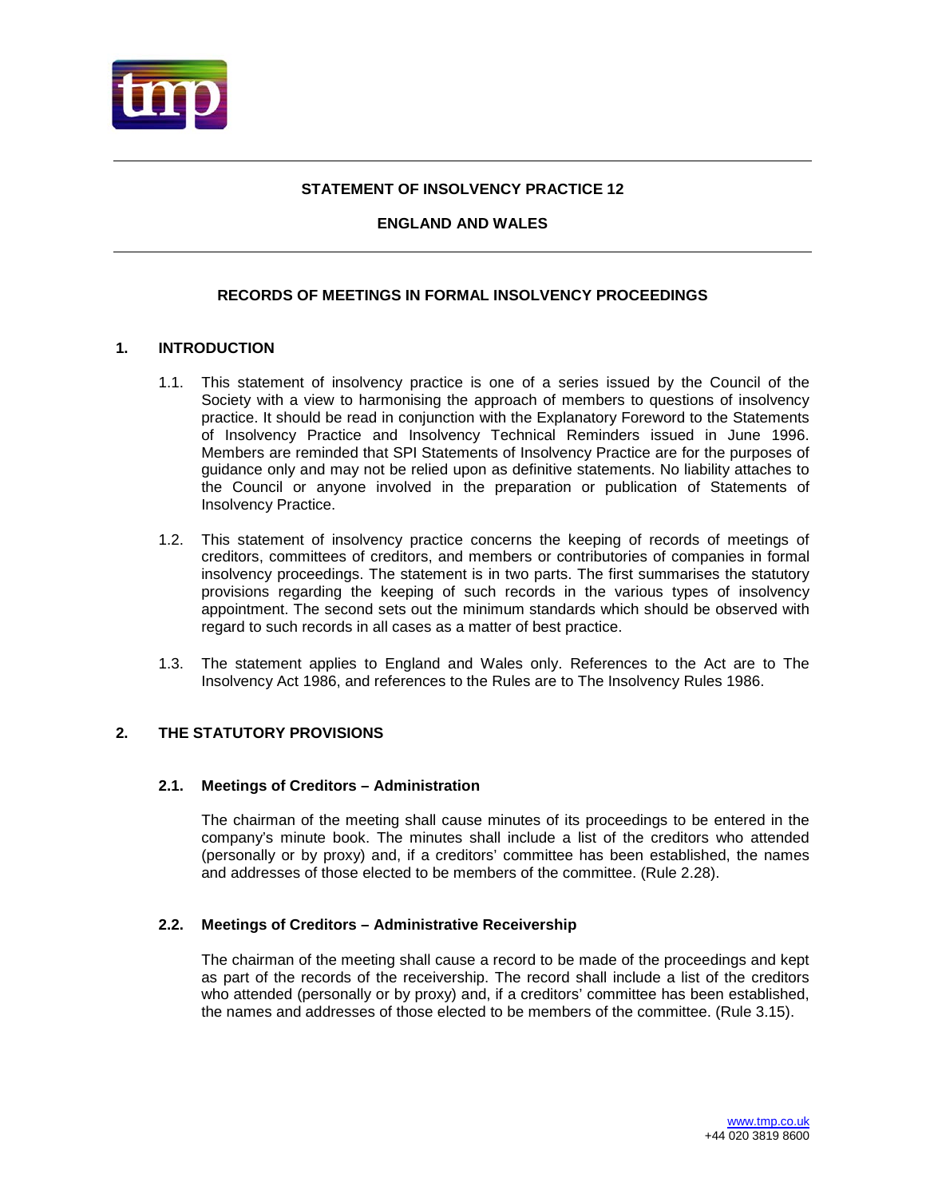

## **STATEMENT OF INSOLVENCY PRACTICE 12**

## **ENGLAND AND WALES**

# **RECORDS OF MEETINGS IN FORMAL INSOLVENCY PROCEEDINGS**

## **1. INTRODUCTION**

- 1.1. This statement of insolvency practice is one of a series issued by the Council of the Society with a view to harmonising the approach of members to questions of insolvency practice. It should be read in conjunction with the Explanatory Foreword to the Statements of Insolvency Practice and Insolvency Technical Reminders issued in June 1996. Members are reminded that SPI Statements of Insolvency Practice are for the purposes of guidance only and may not be relied upon as definitive statements. No liability attaches to the Council or anyone involved in the preparation or publication of Statements of Insolvency Practice.
- 1.2. This statement of insolvency practice concerns the keeping of records of meetings of creditors, committees of creditors, and members or contributories of companies in formal insolvency proceedings. The statement is in two parts. The first summarises the statutory provisions regarding the keeping of such records in the various types of insolvency appointment. The second sets out the minimum standards which should be observed with regard to such records in all cases as a matter of best practice.
- 1.3. The statement applies to England and Wales only. References to the Act are to The Insolvency Act 1986, and references to the Rules are to The Insolvency Rules 1986.

### **2. THE STATUTORY PROVISIONS**

### **2.1. Meetings of Creditors – Administration**

The chairman of the meeting shall cause minutes of its proceedings to be entered in the company's minute book. The minutes shall include a list of the creditors who attended (personally or by proxy) and, if a creditors' committee has been established, the names and addresses of those elected to be members of the committee. (Rule 2.28).

### **2.2. Meetings of Creditors – Administrative Receivership**

The chairman of the meeting shall cause a record to be made of the proceedings and kept as part of the records of the receivership. The record shall include a list of the creditors who attended (personally or by proxy) and, if a creditors' committee has been established, the names and addresses of those elected to be members of the committee. (Rule 3.15).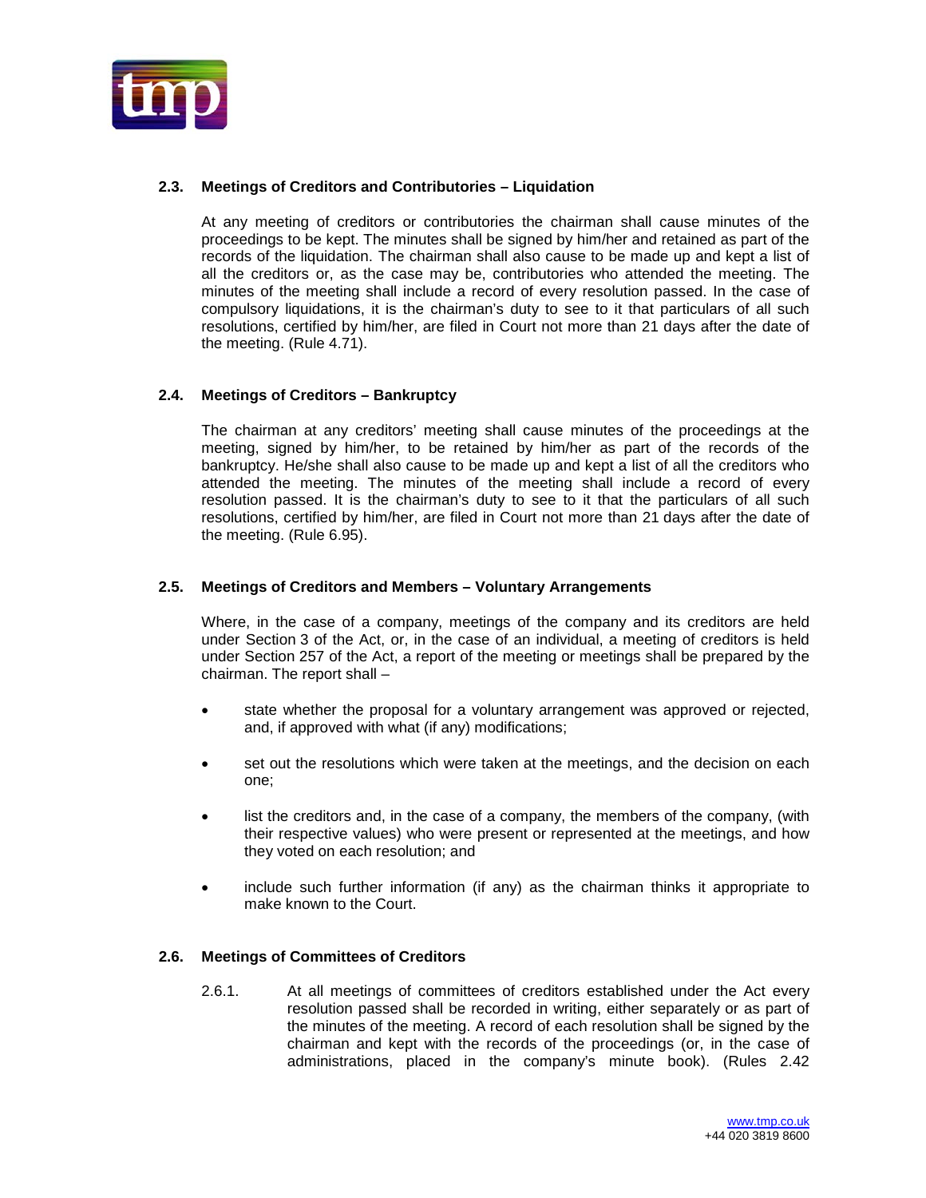

# **2.3. Meetings of Creditors and Contributories – Liquidation**

At any meeting of creditors or contributories the chairman shall cause minutes of the proceedings to be kept. The minutes shall be signed by him/her and retained as part of the records of the liquidation. The chairman shall also cause to be made up and kept a list of all the creditors or, as the case may be, contributories who attended the meeting. The minutes of the meeting shall include a record of every resolution passed. In the case of compulsory liquidations, it is the chairman's duty to see to it that particulars of all such resolutions, certified by him/her, are filed in Court not more than 21 days after the date of the meeting. (Rule 4.71).

## **2.4. Meetings of Creditors – Bankruptcy**

The chairman at any creditors' meeting shall cause minutes of the proceedings at the meeting, signed by him/her, to be retained by him/her as part of the records of the bankruptcy. He/she shall also cause to be made up and kept a list of all the creditors who attended the meeting. The minutes of the meeting shall include a record of every resolution passed. It is the chairman's duty to see to it that the particulars of all such resolutions, certified by him/her, are filed in Court not more than 21 days after the date of the meeting. (Rule 6.95).

### **2.5. Meetings of Creditors and Members – Voluntary Arrangements**

Where, in the case of a company, meetings of the company and its creditors are held under Section 3 of the Act, or, in the case of an individual, a meeting of creditors is held under Section 257 of the Act, a report of the meeting or meetings shall be prepared by the chairman. The report shall –

- state whether the proposal for a voluntary arrangement was approved or rejected, and, if approved with what (if any) modifications;
- set out the resolutions which were taken at the meetings, and the decision on each one;
- list the creditors and, in the case of a company, the members of the company, (with their respective values) who were present or represented at the meetings, and how they voted on each resolution; and
- include such further information (if any) as the chairman thinks it appropriate to make known to the Court.

### **2.6. Meetings of Committees of Creditors**

2.6.1. At all meetings of committees of creditors established under the Act every resolution passed shall be recorded in writing, either separately or as part of the minutes of the meeting. A record of each resolution shall be signed by the chairman and kept with the records of the proceedings (or, in the case of administrations, placed in the company's minute book). (Rules 2.42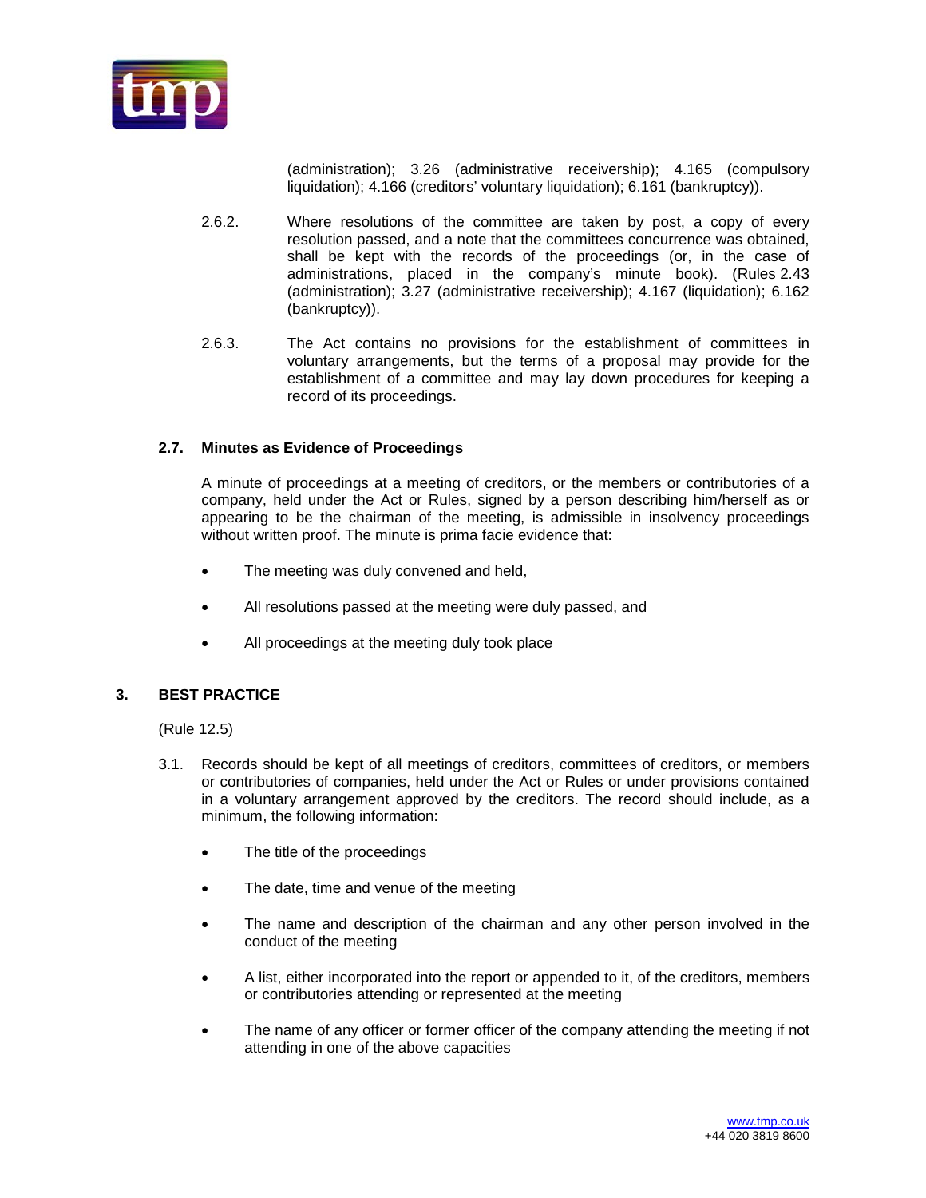

(administration); 3.26 (administrative receivership); 4.165 (compulsory liquidation); 4.166 (creditors' voluntary liquidation); 6.161 (bankruptcy)).

- 2.6.2. Where resolutions of the committee are taken by post, a copy of every resolution passed, and a note that the committees concurrence was obtained, shall be kept with the records of the proceedings (or, in the case of administrations, placed in the company's minute book). (Rules 2.43 (administration); 3.27 (administrative receivership); 4.167 (liquidation); 6.162 (bankruptcy)).
- 2.6.3. The Act contains no provisions for the establishment of committees in voluntary arrangements, but the terms of a proposal may provide for the establishment of a committee and may lay down procedures for keeping a record of its proceedings.

### **2.7. Minutes as Evidence of Proceedings**

A minute of proceedings at a meeting of creditors, or the members or contributories of a company, held under the Act or Rules, signed by a person describing him/herself as or appearing to be the chairman of the meeting, is admissible in insolvency proceedings without written proof. The minute is prima facie evidence that:

- The meeting was duly convened and held,
- All resolutions passed at the meeting were duly passed, and
- All proceedings at the meeting duly took place

### **3. BEST PRACTICE**

(Rule 12.5)

- 3.1. Records should be kept of all meetings of creditors, committees of creditors, or members or contributories of companies, held under the Act or Rules or under provisions contained in a voluntary arrangement approved by the creditors. The record should include, as a minimum, the following information:
	- The title of the proceedings
	- The date, time and venue of the meeting
	- The name and description of the chairman and any other person involved in the conduct of the meeting
	- A list, either incorporated into the report or appended to it, of the creditors, members or contributories attending or represented at the meeting
	- The name of any officer or former officer of the company attending the meeting if not attending in one of the above capacities